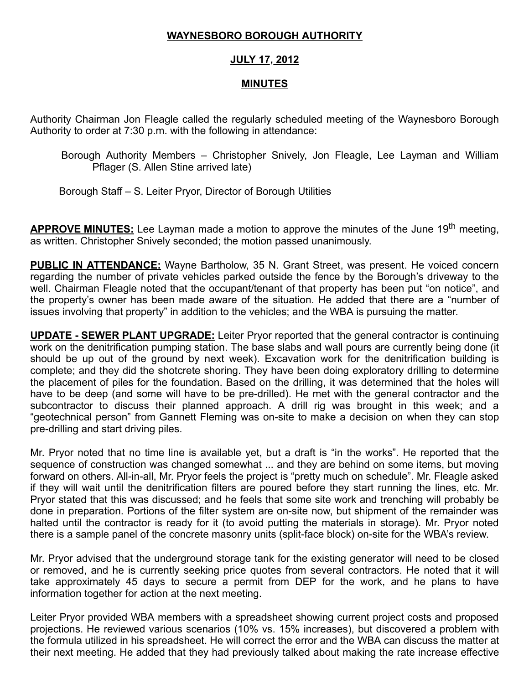## WAYNESBORO BOROUGH AUTHORITY

## JULY 17, 2012

## MINUTES

Authority Chairman Jon Fleagle called the regularly scheduled meeting of the Waynesboro Borough Authority to order at 7:30 p.m. with the following in attendance:

Borough Authority Members – Christopher Snively, Jon Fleagle, Lee Layman and William Pflager (S. Allen Stine arrived late)

Borough Staff – S. Leiter Pryor, Director of Borough Utilities

APPROVE MINUTES: Lee Layman made a motion to approve the minutes of the June 19<sup>th</sup> meeting, as written. Christopher Snively seconded; the motion passed unanimously.

**PUBLIC IN ATTENDANCE:** Wayne Bartholow, 35 N. Grant Street, was present. He voiced concern regarding the number of private vehicles parked outside the fence by the Borough's driveway to the well. Chairman Fleagle noted that the occupant/tenant of that property has been put "on notice", and the property's owner has been made aware of the situation. He added that there are a "number of issues involving that property" in addition to the vehicles; and the WBA is pursuing the matter.

**UPDATE - SEWER PLANT UPGRADE:** Leiter Pryor reported that the general contractor is continuing work on the denitrification pumping station. The base slabs and wall pours are currently being done (it should be up out of the ground by next week). Excavation work for the denitrification building is complete; and they did the shotcrete shoring. They have been doing exploratory drilling to determine the placement of piles for the foundation. Based on the drilling, it was determined that the holes will have to be deep (and some will have to be pre-drilled). He met with the general contractor and the subcontractor to discuss their planned approach. A drill rig was brought in this week; and a "geotechnical person" from Gannett Fleming was on-site to make a decision on when they can stop pre-drilling and start driving piles.

Mr. Pryor noted that no time line is available yet, but a draft is "in the works". He reported that the sequence of construction was changed somewhat ... and they are behind on some items, but moving forward on others. All-in-all, Mr. Pryor feels the project is "pretty much on schedule". Mr. Fleagle asked if they will wait until the denitrification filters are poured before they start running the lines, etc. Mr. Pryor stated that this was discussed; and he feels that some site work and trenching will probably be done in preparation. Portions of the filter system are on-site now, but shipment of the remainder was halted until the contractor is ready for it (to avoid putting the materials in storage). Mr. Pryor noted there is a sample panel of the concrete masonry units (split-face block) on-site for the WBA's review.

Mr. Pryor advised that the underground storage tank for the existing generator will need to be closed or removed, and he is currently seeking price quotes from several contractors. He noted that it will take approximately 45 days to secure a permit from DEP for the work, and he plans to have information together for action at the next meeting.

Leiter Pryor provided WBA members with a spreadsheet showing current project costs and proposed projections. He reviewed various scenarios (10% vs. 15% increases), but discovered a problem with the formula utilized in his spreadsheet. He will correct the error and the WBA can discuss the matter at their next meeting. He added that they had previously talked about making the rate increase effective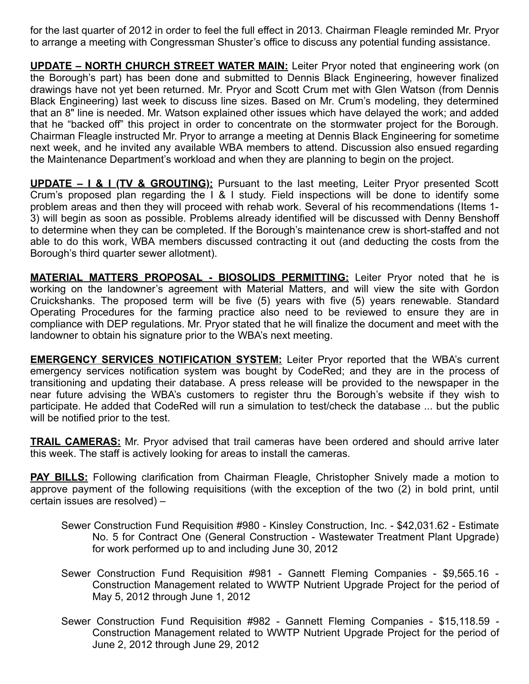for the last quarter of 2012 in order to feel the full effect in 2013. Chairman Fleagle reminded Mr. Pryor to arrange a meeting with Congressman Shuster's office to discuss any potential funding assistance.

UPDATE – NORTH CHURCH STREET WATER MAIN: Leiter Pryor noted that engineering work (on the Borough's part) has been done and submitted to Dennis Black Engineering, however finalized drawings have not yet been returned. Mr. Pryor and Scott Crum met with Glen Watson (from Dennis Black Engineering) last week to discuss line sizes. Based on Mr. Crum's modeling, they determined that an 8" line is needed. Mr. Watson explained other issues which have delayed the work; and added that he "backed off" this project in order to concentrate on the stormwater project for the Borough. Chairman Fleagle instructed Mr. Pryor to arrange a meeting at Dennis Black Engineering for sometime next week, and he invited any available WBA members to attend. Discussion also ensued regarding the Maintenance Department's workload and when they are planning to begin on the project.

UPDATE – I & I (TV & GROUTING): Pursuant to the last meeting, Leiter Pryor presented Scott Crum's proposed plan regarding the I & I study. Field inspections will be done to identify some problem areas and then they will proceed with rehab work. Several of his recommendations (Items 1- 3) will begin as soon as possible. Problems already identified will be discussed with Denny Benshoff to determine when they can be completed. If the Borough's maintenance crew is short-staffed and not able to do this work, WBA members discussed contracting it out (and deducting the costs from the Borough's third quarter sewer allotment).

MATERIAL MATTERS PROPOSAL - BIOSOLIDS PERMITTING: Leiter Pryor noted that he is working on the landowner's agreement with Material Matters, and will view the site with Gordon Cruickshanks. The proposed term will be five (5) years with five (5) years renewable. Standard Operating Procedures for the farming practice also need to be reviewed to ensure they are in compliance with DEP regulations. Mr. Pryor stated that he will finalize the document and meet with the landowner to obtain his signature prior to the WBA's next meeting.

**EMERGENCY SERVICES NOTIFICATION SYSTEM:** Leiter Pryor reported that the WBA's current emergency services notification system was bought by CodeRed; and they are in the process of transitioning and updating their database. A press release will be provided to the newspaper in the near future advising the WBA's customers to register thru the Borough's website if they wish to participate. He added that CodeRed will run a simulation to test/check the database ... but the public will be notified prior to the test.

**TRAIL CAMERAS:** Mr. Pryor advised that trail cameras have been ordered and should arrive later this week. The staff is actively looking for areas to install the cameras.

**PAY BILLS:** Following clarification from Chairman Fleagle, Christopher Snively made a motion to approve payment of the following requisitions (with the exception of the two (2) in bold print, until certain issues are resolved) –

- Sewer Construction Fund Requisition #980 Kinsley Construction, Inc. \$42,031.62 Estimate No. 5 for Contract One (General Construction - Wastewater Treatment Plant Upgrade) for work performed up to and including June 30, 2012
- Sewer Construction Fund Requisition #981 Gannett Fleming Companies \$9,565.16 Construction Management related to WWTP Nutrient Upgrade Project for the period of May 5, 2012 through June 1, 2012
- Sewer Construction Fund Requisition #982 Gannett Fleming Companies \$15,118.59 Construction Management related to WWTP Nutrient Upgrade Project for the period of June 2, 2012 through June 29, 2012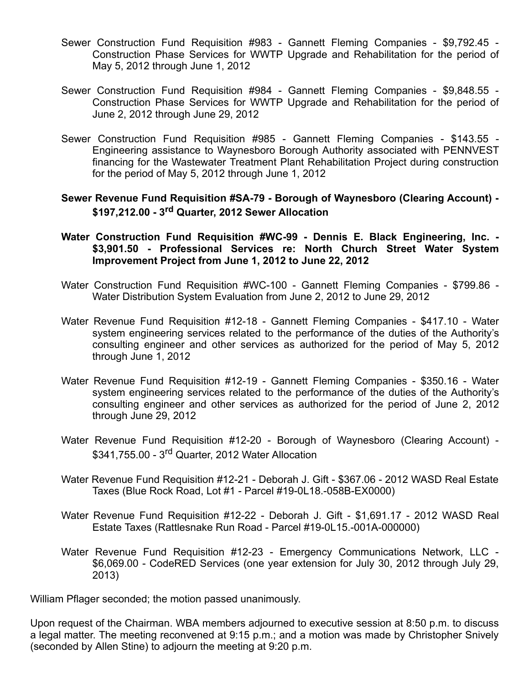- Sewer Construction Fund Requisition #983 Gannett Fleming Companies \$9,792.45 Construction Phase Services for WWTP Upgrade and Rehabilitation for the period of May 5, 2012 through June 1, 2012
- Sewer Construction Fund Requisition #984 Gannett Fleming Companies \$9,848.55 Construction Phase Services for WWTP Upgrade and Rehabilitation for the period of June 2, 2012 through June 29, 2012
- Sewer Construction Fund Requisition #985 Gannett Fleming Companies \$143.55 Engineering assistance to Waynesboro Borough Authority associated with PENNVEST financing for the Wastewater Treatment Plant Rehabilitation Project during construction for the period of May 5, 2012 through June 1, 2012

## Sewer Revenue Fund Requisition #SA-79 - Borough of Waynesboro (Clearing Account) - \$197,212.00 - 3<sup>rd</sup> Quarter, 2012 Sewer Allocation

- Water Construction Fund Requisition #WC-99 Dennis E. Black Engineering, Inc. -\$3,901.50 - Professional Services re: North Church Street Water System Improvement Project from June 1, 2012 to June 22, 2012
- Water Construction Fund Requisition #WC-100 Gannett Fleming Companies \$799.86 Water Distribution System Evaluation from June 2, 2012 to June 29, 2012
- Water Revenue Fund Requisition #12-18 Gannett Fleming Companies \$417.10 Water system engineering services related to the performance of the duties of the Authority's consulting engineer and other services as authorized for the period of May 5, 2012 through June 1, 2012
- Water Revenue Fund Requisition #12-19 Gannett Fleming Companies \$350.16 Water system engineering services related to the performance of the duties of the Authority's consulting engineer and other services as authorized for the period of June 2, 2012 through June 29, 2012
- Water Revenue Fund Requisition #12-20 Borough of Waynesboro (Clearing Account) \$341,755.00 - 3rd Quarter, 2012 Water Allocation
- Water Revenue Fund Requisition #12-21 Deborah J. Gift \$367.06 2012 WASD Real Estate Taxes (Blue Rock Road, Lot #1 - Parcel #19-0L18.-058B-EX0000)
- Water Revenue Fund Requisition #12-22 Deborah J. Gift \$1,691.17 2012 WASD Real Estate Taxes (Rattlesnake Run Road - Parcel #19-0L15.-001A-000000)
- Water Revenue Fund Requisition #12-23 Emergency Communications Network, LLC \$6,069.00 - CodeRED Services (one year extension for July 30, 2012 through July 29, 2013)

William Pflager seconded; the motion passed unanimously.

Upon request of the Chairman. WBA members adjourned to executive session at 8:50 p.m. to discuss a legal matter. The meeting reconvened at 9:15 p.m.; and a motion was made by Christopher Snively (seconded by Allen Stine) to adjourn the meeting at 9:20 p.m.